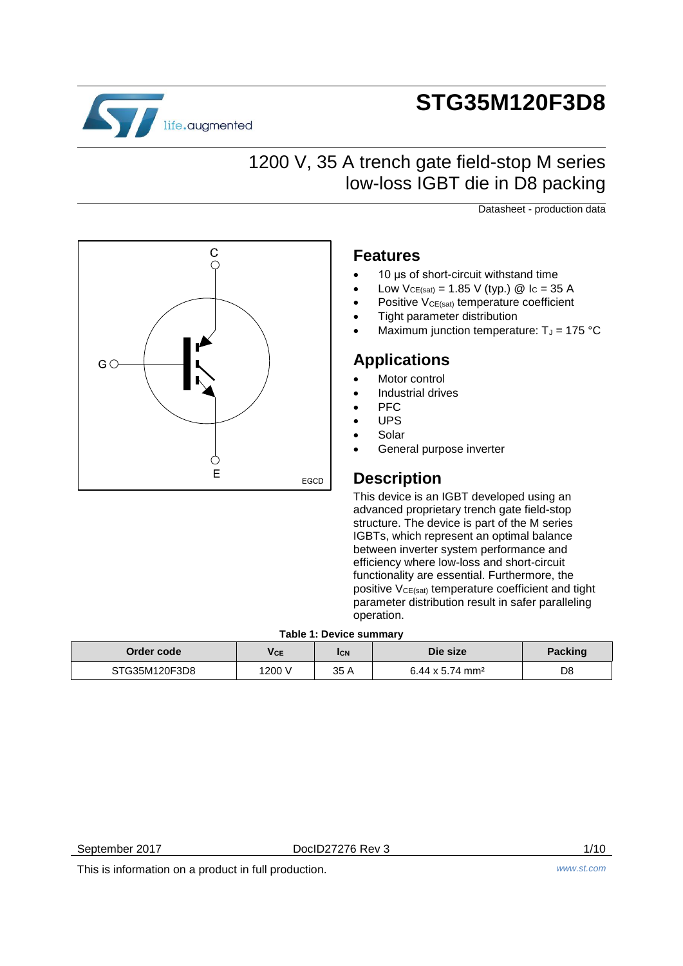

# **STG35M120F3D8**

## 1200 V, 35 A trench gate field-stop M series low-loss IGBT die in D8 packing

Datasheet - production data



### **Features**

- 10 us of short-circuit withstand time
- Low  $V_{CE(sat)} = 1.85$  V (typ.) @ I<sub>C</sub> = 35 A
- Positive V<sub>CE(sat)</sub> temperature coefficient
- Tight parameter distribution
- Maximum junction temperature:  $T_J = 175 \text{ °C}$

### **Applications**

- Motor control
- Industrial drives
- **PFC**
- UPS
- Solar
- General purpose inverter

## **Description**

This device is an IGBT developed using an advanced proprietary trench gate field-stop structure. The device is part of the M series IGBTs, which represent an optimal balance between inverter system performance and efficiency where low-loss and short-circuit functionality are essential. Furthermore, the positive V<sub>CE(sat)</sub> temperature coefficient and tight parameter distribution result in safer paralleling operation.

#### **Table 1: Device summary**

| Order code    | Vce    | <b>ICN</b> | Die size                    | <b>Packing</b> |
|---------------|--------|------------|-----------------------------|----------------|
| STG35M120F3D8 | 1200 V | 35 A       | 6.44 x 5.74 mm <sup>2</sup> | D8             |

This is information on a product in full production. *www.st.com*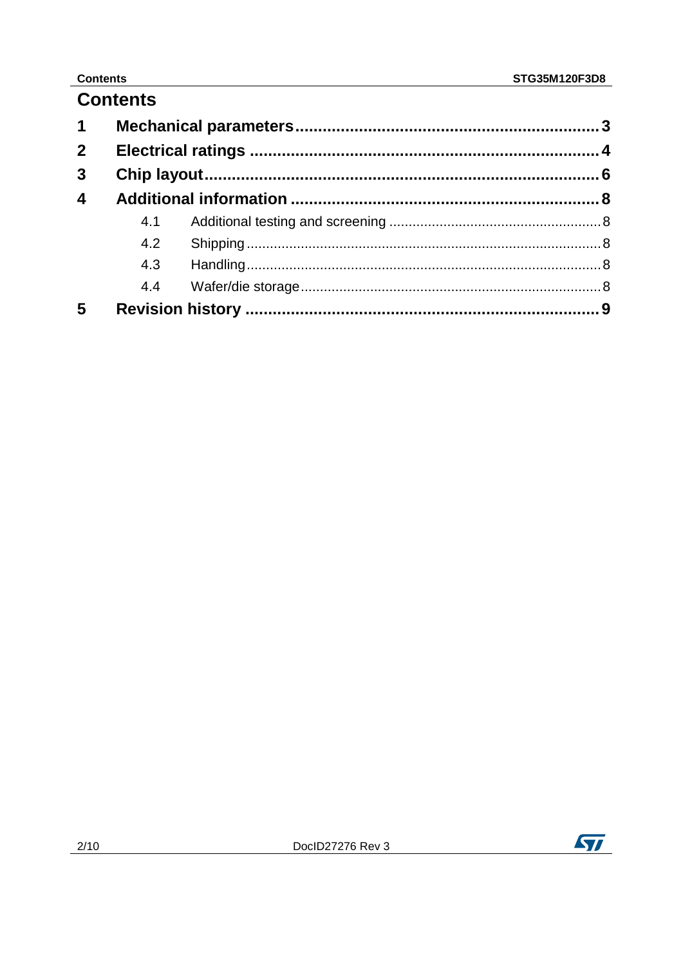### **Contents**

| <b>Contents</b> |
|-----------------|
|-----------------|

| $\mathbf 1$             |     |  |
|-------------------------|-----|--|
| $\overline{2}$          |     |  |
| $\mathbf{3}$            |     |  |
| $\overline{\mathbf{4}}$ |     |  |
|                         | 4.1 |  |
|                         | 4.2 |  |
|                         | 4.3 |  |
|                         | 4.4 |  |
| 5                       |     |  |

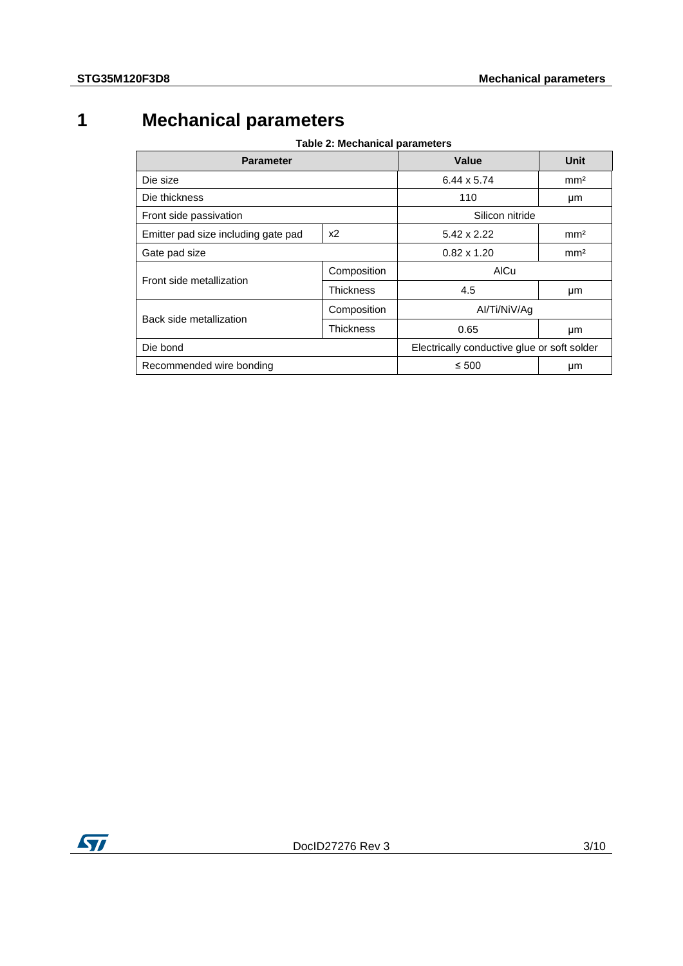## **1 Mechanical parameters**

| Table 2: Mechanical parameters |  |
|--------------------------------|--|
|--------------------------------|--|

<span id="page-2-1"></span><span id="page-2-0"></span>

| <b>Parameter</b>                          | Value              | Unit                                        |                 |  |
|-------------------------------------------|--------------------|---------------------------------------------|-----------------|--|
| Die size                                  |                    | $6.44 \times 5.74$                          | mm <sup>2</sup> |  |
| Die thickness                             |                    | 110                                         | μm              |  |
| Front side passivation                    |                    | Silicon nitride                             |                 |  |
| Emitter pad size including gate pad<br>x2 |                    | 5.42 x 2.22                                 | mm <sup>2</sup> |  |
| Gate pad size                             | $0.82 \times 1.20$ | mm <sup>2</sup>                             |                 |  |
|                                           | Composition        | <b>AICu</b>                                 |                 |  |
| Front side metallization                  | <b>Thickness</b>   | 4.5                                         | μm              |  |
|                                           | Composition        | Al/Ti/NiV/Aq                                |                 |  |
| Back side metallization                   | Thickness          | 0.65                                        | μm              |  |
| Die bond                                  |                    | Electrically conductive glue or soft solder |                 |  |
| Recommended wire bonding                  |                    | $\leq 500$                                  | μm              |  |

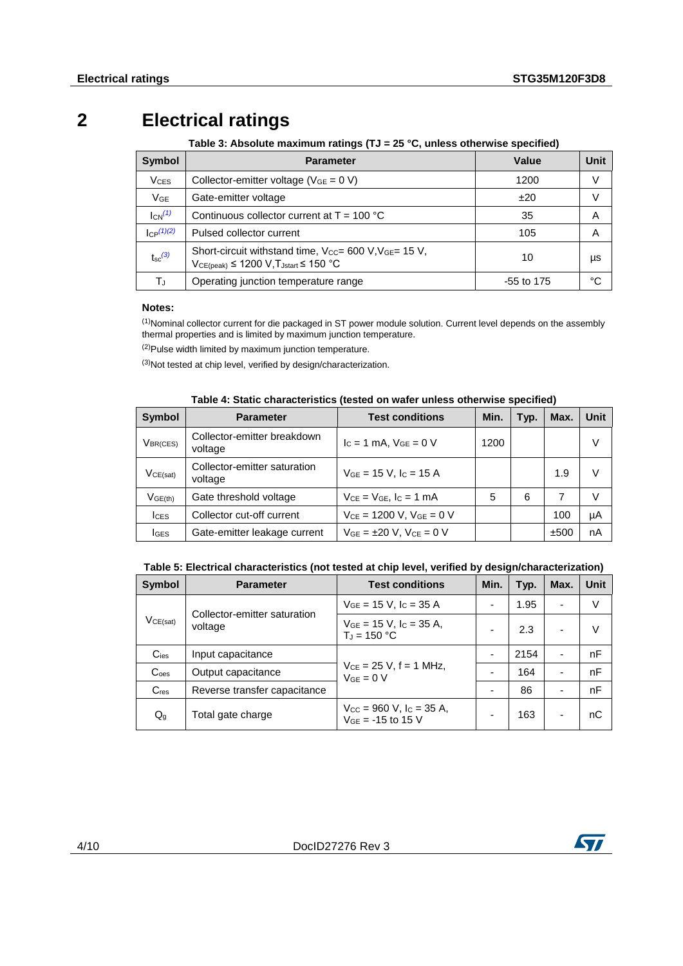## **2 Electrical ratings**

#### <span id="page-3-0"></span>**Table 3: Absolute maximum ratings (TJ = 25 °C, unless otherwise specified)**

<span id="page-3-3"></span>

| <b>Symbol</b>          | <b>Parameter</b>                                                                                           | Value      | Unit |
|------------------------|------------------------------------------------------------------------------------------------------------|------------|------|
| <b>V<sub>CES</sub></b> | Collector-emitter voltage ( $V_{GE} = 0 V$ )                                                               | 1200       | V    |
| $V_{GE}$               | Gate-emitter voltage                                                                                       | ±20        | V    |
| $I_{CN}^{(1)}$         | Continuous collector current at $T = 100 °C$                                                               | 35         | A    |
| $C_P(1)(2)$            | Pulsed collector current                                                                                   | 105        | Α    |
| $t_{\rm sc}$ (3)       | Short-circuit withstand time, Vcc= 600 V, VGE= 15 V,<br>$VCE(peak) \leq 1200 V$ , $T_{Jstart} \leq 150 °C$ | 10         | μs   |
| ТJ                     | Operating junction temperature range                                                                       | -55 to 175 | °C   |

#### **Notes:**

<span id="page-3-1"></span> $(1)$ Nominal collector current for die packaged in ST power module solution. Current level depends on the assembly thermal properties and is limited by maximum junction temperature.

(2)Pulse width limited by maximum junction temperature.

<span id="page-3-2"></span> $(3)$ Not tested at chip level, verified by design/characterization.

<span id="page-3-4"></span>

| <b>Symbol</b>          | <b>Parameter</b>                        | <b>Test conditions</b>              | Min. | Typ. | Max. | <b>Unit</b> |
|------------------------|-----------------------------------------|-------------------------------------|------|------|------|-------------|
| $V_{\mathsf{BR}(CES)}$ | Collector-emitter breakdown<br>voltage  | $I_c = 1$ mA, $V_{GE} = 0$ V        | 1200 |      |      | V           |
| VCE(sat)               | Collector-emitter saturation<br>voltage | $V_{GE}$ = 15 V, $I_C$ = 15 A       |      |      | 1.9  | V           |
| V <sub>GE(th)</sub>    | Gate threshold voltage                  | $V_{CE} = V_{GE}$ , $I_C = 1$ mA    | 5    | 6    | 7    | V           |
| <b>ICES</b>            | Collector cut-off current               | $V_{CE}$ = 1200 V, $V_{GE}$ = 0 V   |      |      | 100  | μA          |
| <b>I</b> GES           | Gate-emitter leakage current            | $V_{GE} = \pm 20$ V, $V_{CE} = 0$ V |      |      | ±500 | nA          |

#### **Table 4: Static characteristics (tested on wafer unless otherwise specified)**

<span id="page-3-5"></span>

| Symbol                    | <b>Parameter</b>                        | <b>Test conditions</b>                                                    | Min. | Typ. | Max.           | Unit |
|---------------------------|-----------------------------------------|---------------------------------------------------------------------------|------|------|----------------|------|
| VCE(sat)                  | Collector-emitter saturation<br>voltage | $V_{GE}$ = 15 V, I <sub>C</sub> = 35 A                                    |      | 1.95 |                | V    |
|                           |                                         | $VGE = 15 V$ , $I_C = 35 A$ ,<br>$T_{d} = 150 °C$                         |      | 2.3  |                | V    |
| $C_{\text{ies}}$          | Input capacitance                       |                                                                           |      | 2154 |                | nF   |
| $\mathsf{C}_{\text{oes}}$ | Output capacitance                      | $V_{CE} = 25 V$ , f = 1 MHz,<br>$V_{GF} = 0 V$                            |      | 164  | $\blacksquare$ | nF   |
| $C_{res}$                 | Reverse transfer capacitance            |                                                                           |      | 86   |                | nF   |
| $\mathsf{Q}_{\mathsf{g}}$ | Total gate charge                       | $V_{\text{CC}}$ = 960 V, $I_{\text{C}}$ = 35 A,<br>$V_{GE} = -15$ to 15 V |      | 163  |                | nС   |

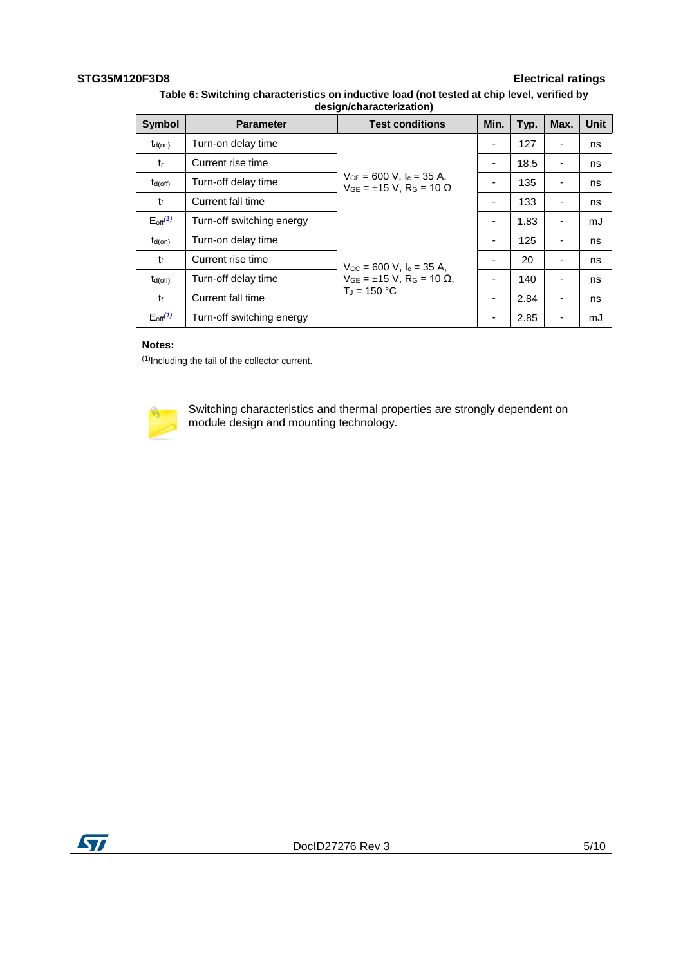#### **STG35M120F3D8 Electrical ratings**

| <b>Symbol</b>            | <b>Parameter</b>          | <b>Test conditions</b>                                                               | Min. | Typ. | Max.                     | <b>Unit</b> |
|--------------------------|---------------------------|--------------------------------------------------------------------------------------|------|------|--------------------------|-------------|
| $t_{d(on)}$              | Turn-on delay time        |                                                                                      |      | 127  |                          | ns          |
| $t_{r}$                  | Current rise time         |                                                                                      | ۰    | 18.5 |                          | ns          |
| $t_{d(off)}$             | Turn-off delay time       | $V_{CE} = 600$ V, $I_c = 35$ A,<br>$V_{GE} = \pm 15$ V, R <sub>G</sub> = 10 $\Omega$ |      | 135  |                          | ns          |
| t                        | Current fall time         |                                                                                      | ۰    | 133  |                          | ns          |
| $E_{off}$ <sup>(1)</sup> | Turn-off switching energy |                                                                                      | -    | 1.83 | $\overline{\phantom{a}}$ | mJ          |
| $t_{d(on)}$              | Turn-on delay time        |                                                                                      |      | 125  |                          | ns          |
| t                        | Current rise time         | $V_{\text{CC}} = 600 \text{ V}, I_{\text{c}} = 35 \text{ A},$                        | ۰    | 20   | $\overline{\phantom{a}}$ | ns          |
| $t_{d(off)}$             | Turn-off delay time       | $V_{GE} = ±15 V, R_G = 10 Ω.$                                                        |      | 140  |                          | ns          |
| t                        | Current fall time         | $T_J = 150 °C$                                                                       | ۰    | 2.84 |                          | ns          |
| $E_{\text{off}}^{(1)}$   | Turn-off switching energy |                                                                                      | -    | 2.85 | ٠                        | mJ          |

#### <span id="page-4-1"></span>**Table 6: Switching characteristics on inductive load (not tested at chip level, verified by design/characterization)**

#### **Notes:**

<span id="page-4-0"></span>(1)Including the tail of the collector current.



Switching characteristics and thermal properties are strongly dependent on module design and mounting technology.

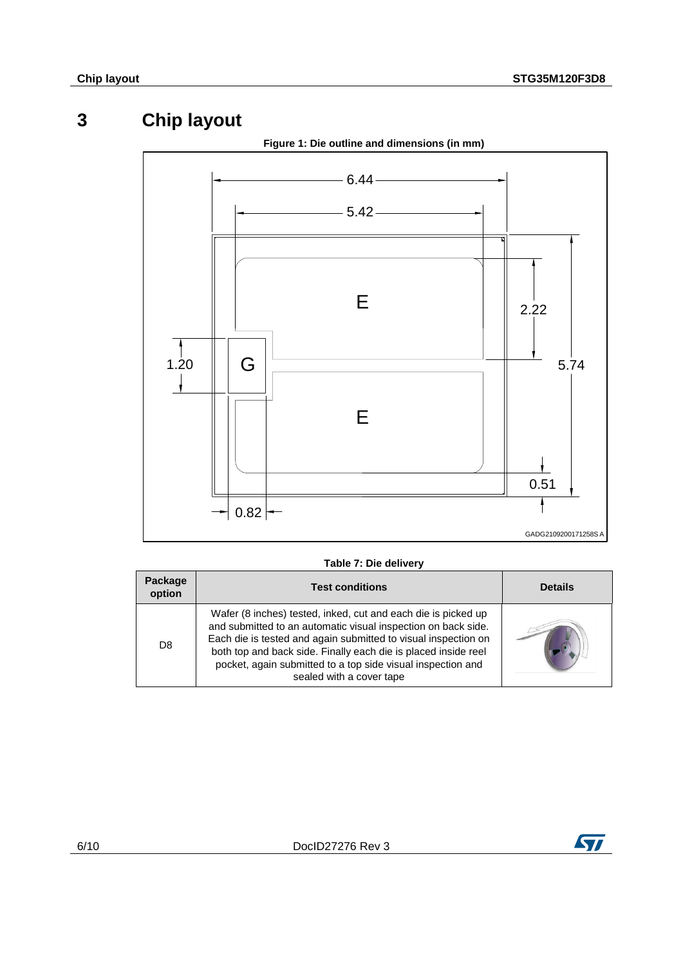## **3 Chip layout**

<span id="page-5-1"></span><span id="page-5-0"></span>

#### **Table 7: Die delivery**

| Package<br>option | <b>Test conditions</b>                                                                                                                                                                                                                                                                                                                                        | <b>Details</b> |
|-------------------|---------------------------------------------------------------------------------------------------------------------------------------------------------------------------------------------------------------------------------------------------------------------------------------------------------------------------------------------------------------|----------------|
| D <sub>8</sub>    | Wafer (8 inches) tested, inked, cut and each die is picked up<br>and submitted to an automatic visual inspection on back side.<br>Each die is tested and again submitted to visual inspection on<br>both top and back side. Finally each die is placed inside reel<br>pocket, again submitted to a top side visual inspection and<br>sealed with a cover tape |                |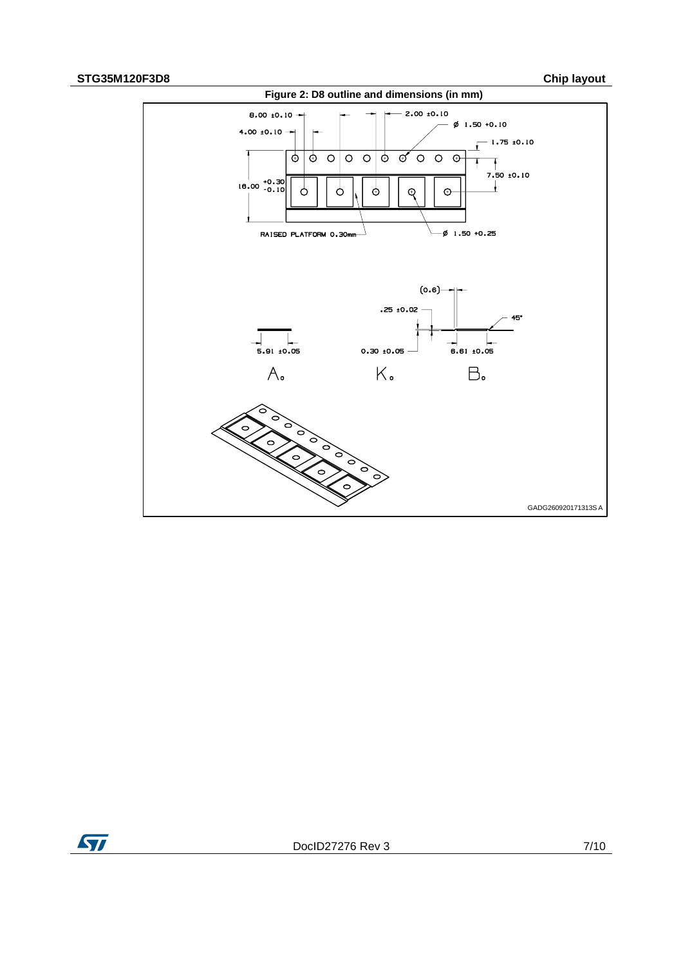### **STG35M120F3D8 Chip layout**

<span id="page-6-0"></span>

ST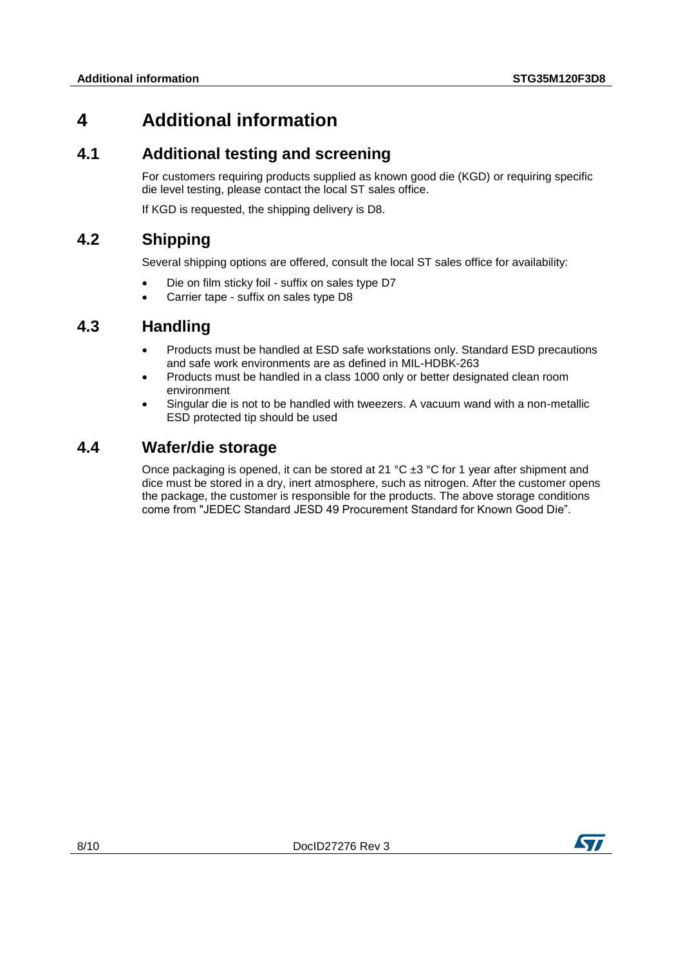## <span id="page-7-0"></span>**4 Additional information**

### **4.1 Additional testing and screening**

<span id="page-7-1"></span>For customers requiring products supplied as known good die (KGD) or requiring specific die level testing, please contact the local ST sales office.

<span id="page-7-2"></span>If KGD is requested, the shipping delivery is D8.

## **4.2 Shipping**

Several shipping options are offered, consult the local ST sales office for availability:

- Die on film sticky foil suffix on sales type D7
- <span id="page-7-3"></span>Carrier tape - suffix on sales type D8

## **4.3 Handling**

- Products must be handled at ESD safe workstations only. Standard ESD precautions and safe work environments are as defined in MIL-HDBK-263
- Products must be handled in a class 1000 only or better designated clean room environment
- Singular die is not to be handled with tweezers. A vacuum wand with a non-metallic ESD protected tip should be used

### **4.4 Wafer/die storage**

<span id="page-7-4"></span>Once packaging is opened, it can be stored at 21  $^{\circ}$ C  $\pm 3$   $^{\circ}$ C for 1 year after shipment and dice must be stored in a dry, inert atmosphere, such as nitrogen. After the customer opens the package, the customer is responsible for the products. The above storage conditions come from "JEDEC Standard JESD 49 Procurement Standard for Known Good Die".

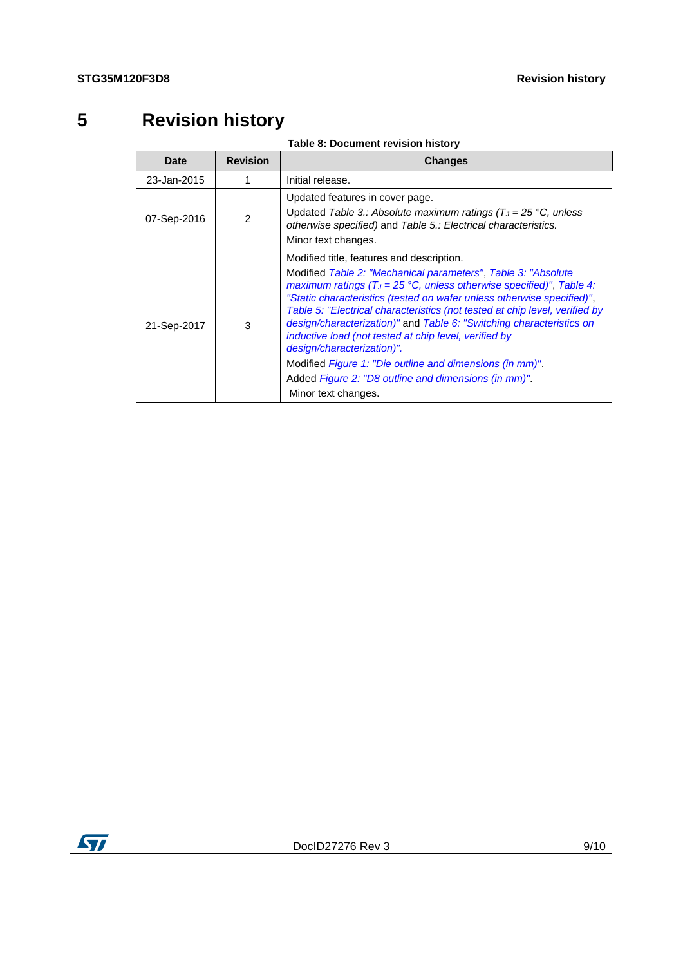## **5 Revision history**

**Table 8: Document revision history**

<span id="page-8-0"></span>

| <b>Date</b> | <b>Revision</b> | <b>Changes</b>                                                                                                                                                                                                                                                                                                                                                                                                                                                                                                                                                                                                                                           |
|-------------|-----------------|----------------------------------------------------------------------------------------------------------------------------------------------------------------------------------------------------------------------------------------------------------------------------------------------------------------------------------------------------------------------------------------------------------------------------------------------------------------------------------------------------------------------------------------------------------------------------------------------------------------------------------------------------------|
| 23-Jan-2015 |                 | Initial release.                                                                                                                                                                                                                                                                                                                                                                                                                                                                                                                                                                                                                                         |
| 07-Sep-2016 | $\mathcal{P}$   | Updated features in cover page.<br>Updated Table 3.: Absolute maximum ratings ( $T_J = 25$ °C, unless<br>otherwise specified) and Table 5.: Electrical characteristics.<br>Minor text changes.                                                                                                                                                                                                                                                                                                                                                                                                                                                           |
| 21-Sep-2017 | 3               | Modified title, features and description.<br>Modified Table 2: "Mechanical parameters", Table 3: "Absolute<br>maximum ratings ( $T_J = 25$ °C, unless otherwise specified)", Table 4:<br>"Static characteristics (tested on wafer unless otherwise specified)",<br>Table 5: "Electrical characteristics (not tested at chip level, verified by<br>design/characterization)" and Table 6: "Switching characteristics on<br>inductive load (not tested at chip level, verified by<br>design/characterization)".<br>Modified Figure 1: "Die outline and dimensions (in mm)".<br>Added Figure 2: "D8 outline and dimensions (in mm)".<br>Minor text changes. |